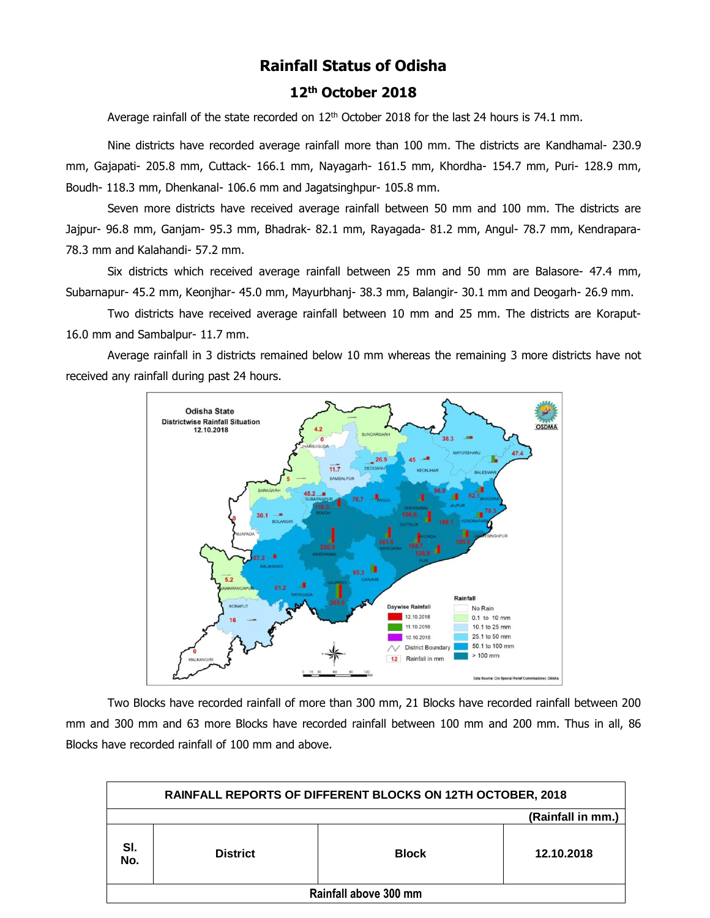# **Rainfall Status of Odisha**

## **12 th October 2018**

Average rainfall of the state recorded on  $12<sup>th</sup>$  October 2018 for the last 24 hours is 74.1 mm.

Nine districts have recorded average rainfall more than 100 mm. The districts are Kandhamal- 230.9 mm, Gajapati- 205.8 mm, Cuttack- 166.1 mm, Nayagarh- 161.5 mm, Khordha- 154.7 mm, Puri- 128.9 mm, Boudh- 118.3 mm, Dhenkanal- 106.6 mm and Jagatsinghpur- 105.8 mm.

Seven more districts have received average rainfall between 50 mm and 100 mm. The districts are Jajpur- 96.8 mm, Ganjam- 95.3 mm, Bhadrak- 82.1 mm, Rayagada- 81.2 mm, Angul- 78.7 mm, Kendrapara-78.3 mm and Kalahandi- 57.2 mm.

Six districts which received average rainfall between 25 mm and 50 mm are Balasore- 47.4 mm, Subarnapur- 45.2 mm, Keonjhar- 45.0 mm, Mayurbhanj- 38.3 mm, Balangir- 30.1 mm and Deogarh- 26.9 mm.

Two districts have received average rainfall between 10 mm and 25 mm. The districts are Koraput-16.0 mm and Sambalpur- 11.7 mm.

Average rainfall in 3 districts remained below 10 mm whereas the remaining 3 more districts have not received any rainfall during past 24 hours.



Two Blocks have recorded rainfall of more than 300 mm, 21 Blocks have recorded rainfall between 200 mm and 300 mm and 63 more Blocks have recorded rainfall between 100 mm and 200 mm. Thus in all, 86 Blocks have recorded rainfall of 100 mm and above.

| RAINFALL REPORTS OF DIFFERENT BLOCKS ON 12TH OCTOBER, 2018 |                 |              |            |  |  |  |  |  |  |
|------------------------------------------------------------|-----------------|--------------|------------|--|--|--|--|--|--|
| (Rainfall in mm.)                                          |                 |              |            |  |  |  |  |  |  |
| SI.<br>No.                                                 | <b>District</b> | <b>Block</b> | 12.10.2018 |  |  |  |  |  |  |
| Rainfall above 300 mm                                      |                 |              |            |  |  |  |  |  |  |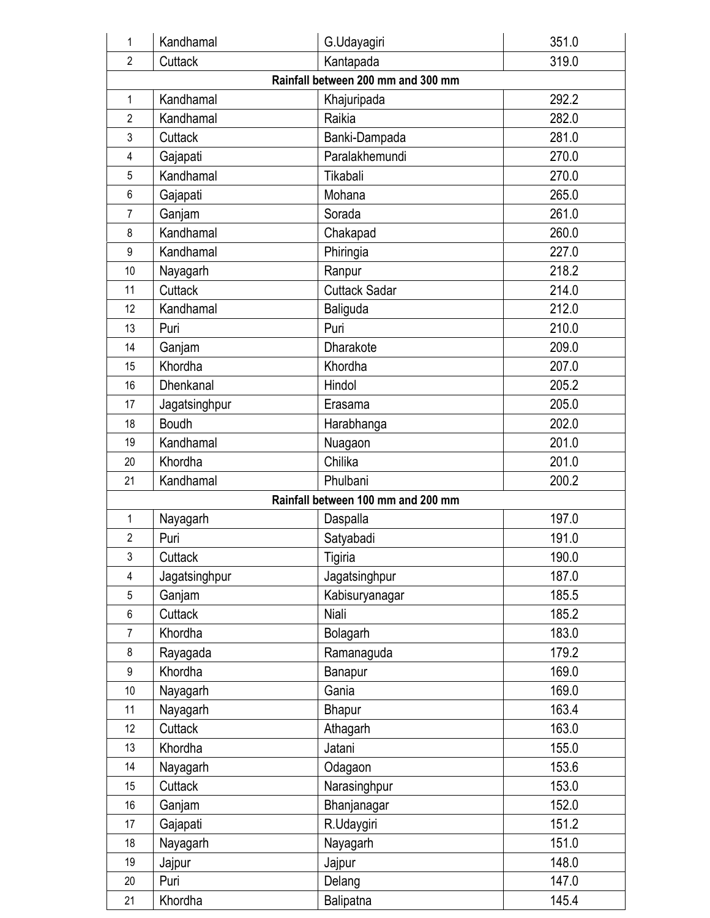| 1                                      | Kandhamal     | G.Udayagiri                        | 351.0 |  |  |  |  |  |  |  |
|----------------------------------------|---------------|------------------------------------|-------|--|--|--|--|--|--|--|
| $\overline{2}$                         | Cuttack       | Kantapada                          | 319.0 |  |  |  |  |  |  |  |
|                                        |               | Rainfall between 200 mm and 300 mm |       |  |  |  |  |  |  |  |
| 292.2<br>Kandhamal<br>Khajuripada<br>1 |               |                                    |       |  |  |  |  |  |  |  |
| 2                                      | Kandhamal     | Raikia                             | 282.0 |  |  |  |  |  |  |  |
| 3                                      | Cuttack       | Banki-Dampada                      | 281.0 |  |  |  |  |  |  |  |
| 4                                      | Gajapati      | Paralakhemundi                     | 270.0 |  |  |  |  |  |  |  |
| 5                                      | Kandhamal     | Tikabali                           | 270.0 |  |  |  |  |  |  |  |
| 6                                      | Gajapati      | Mohana                             | 265.0 |  |  |  |  |  |  |  |
| 7                                      | Ganjam        | Sorada                             | 261.0 |  |  |  |  |  |  |  |
| 8                                      | Kandhamal     | Chakapad                           | 260.0 |  |  |  |  |  |  |  |
| 9                                      | Kandhamal     | Phiringia                          | 227.0 |  |  |  |  |  |  |  |
| 10                                     | Nayagarh      | Ranpur                             | 218.2 |  |  |  |  |  |  |  |
| 11                                     | Cuttack       | <b>Cuttack Sadar</b>               | 214.0 |  |  |  |  |  |  |  |
| 12                                     | Kandhamal     | Baliguda                           | 212.0 |  |  |  |  |  |  |  |
| 13                                     | Puri          | Puri                               | 210.0 |  |  |  |  |  |  |  |
| 14                                     | Ganjam        | Dharakote                          | 209.0 |  |  |  |  |  |  |  |
| 15                                     | Khordha       | Khordha                            | 207.0 |  |  |  |  |  |  |  |
| 16                                     | Dhenkanal     | Hindol                             | 205.2 |  |  |  |  |  |  |  |
| 17                                     | Jagatsinghpur | Erasama                            | 205.0 |  |  |  |  |  |  |  |
| 18                                     | <b>Boudh</b>  | Harabhanga                         | 202.0 |  |  |  |  |  |  |  |
| 19                                     | Kandhamal     | Nuagaon                            | 201.0 |  |  |  |  |  |  |  |
| 20                                     | Khordha       | Chilika                            | 201.0 |  |  |  |  |  |  |  |
| 21                                     | Kandhamal     | Phulbani                           | 200.2 |  |  |  |  |  |  |  |
|                                        |               | Rainfall between 100 mm and 200 mm |       |  |  |  |  |  |  |  |
| 1                                      | Nayagarh      | Daspalla                           | 197.0 |  |  |  |  |  |  |  |
| $\overline{2}$                         | Puri          | Satyabadi                          | 191.0 |  |  |  |  |  |  |  |
| 3                                      | Cuttack       | Tigiria                            | 190.0 |  |  |  |  |  |  |  |
| 4                                      | Jagatsinghpur | Jagatsinghpur                      | 187.0 |  |  |  |  |  |  |  |
| 5                                      | Ganjam        | Kabisuryanagar                     | 185.5 |  |  |  |  |  |  |  |
| 6                                      | Cuttack       | Niali                              | 185.2 |  |  |  |  |  |  |  |
| 7                                      | Khordha       | Bolagarh                           | 183.0 |  |  |  |  |  |  |  |
| 8                                      | Rayagada      | Ramanaguda                         | 179.2 |  |  |  |  |  |  |  |
| 9                                      | Khordha       | Banapur                            | 169.0 |  |  |  |  |  |  |  |
| 10                                     | Nayagarh      | Gania                              | 169.0 |  |  |  |  |  |  |  |
| 11                                     | Nayagarh      | Bhapur                             | 163.4 |  |  |  |  |  |  |  |
| 12                                     | Cuttack       | Athagarh                           | 163.0 |  |  |  |  |  |  |  |
| 13                                     | Khordha       | Jatani                             | 155.0 |  |  |  |  |  |  |  |
| 14                                     | Nayagarh      | Odagaon                            | 153.6 |  |  |  |  |  |  |  |
| 15                                     | Cuttack       | Narasinghpur                       | 153.0 |  |  |  |  |  |  |  |
| 16                                     | Ganjam        | Bhanjanagar                        | 152.0 |  |  |  |  |  |  |  |
| 17                                     | Gajapati      | R.Udaygiri                         | 151.2 |  |  |  |  |  |  |  |
| 18                                     | Nayagarh      | Nayagarh                           | 151.0 |  |  |  |  |  |  |  |
| 19                                     | Jajpur        | Jajpur                             | 148.0 |  |  |  |  |  |  |  |
| 20                                     | Puri          | Delang                             | 147.0 |  |  |  |  |  |  |  |
| 21                                     | Khordha       | Balipatna                          | 145.4 |  |  |  |  |  |  |  |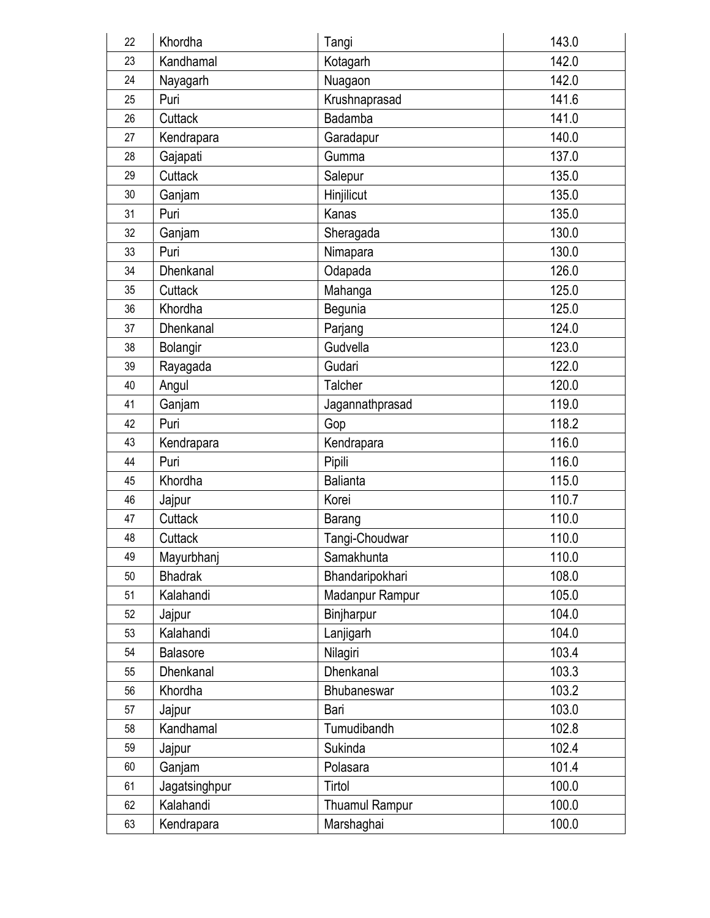| 22 | Khordha        | Tangi           | 143.0 |
|----|----------------|-----------------|-------|
| 23 | Kandhamal      | Kotagarh        | 142.0 |
| 24 | Nayagarh       | Nuagaon         | 142.0 |
| 25 | Puri           | Krushnaprasad   | 141.6 |
| 26 | Cuttack        | Badamba         | 141.0 |
| 27 | Kendrapara     | Garadapur       | 140.0 |
| 28 | Gajapati       | Gumma           | 137.0 |
| 29 | Cuttack        | Salepur         | 135.0 |
| 30 | Ganjam         | Hinjilicut      | 135.0 |
| 31 | Puri           | Kanas           | 135.0 |
| 32 | Ganjam         | Sheragada       | 130.0 |
| 33 | Puri           | Nimapara        | 130.0 |
| 34 | Dhenkanal      | Odapada         | 126.0 |
| 35 | Cuttack        | Mahanga         | 125.0 |
| 36 | Khordha        | Begunia         | 125.0 |
| 37 | Dhenkanal      | Parjang         | 124.0 |
| 38 | Bolangir       | Gudvella        | 123.0 |
| 39 | Rayagada       | Gudari          | 122.0 |
| 40 | Angul          | Talcher         | 120.0 |
| 41 | Ganjam         | Jagannathprasad | 119.0 |
| 42 | Puri           | Gop             | 118.2 |
| 43 | Kendrapara     | Kendrapara      | 116.0 |
| 44 | Puri           | Pipili          | 116.0 |
| 45 | Khordha        | <b>Balianta</b> | 115.0 |
| 46 | Jajpur         | Korei           | 110.7 |
| 47 | Cuttack        | Barang          | 110.0 |
| 48 | Cuttack        | Tangi-Choudwar  | 110.0 |
| 49 | Mayurbhanj     | Samakhunta      | 110.0 |
| 50 | <b>Bhadrak</b> | Bhandaripokhari | 108.0 |
| 51 | Kalahandi      | Madanpur Rampur | 105.0 |
| 52 | Jajpur         | Binjharpur      | 104.0 |
| 53 | Kalahandi      | Lanjigarh       | 104.0 |
| 54 | Balasore       | Nilagiri        | 103.4 |
| 55 | Dhenkanal      | Dhenkanal       | 103.3 |
| 56 | Khordha        | Bhubaneswar     | 103.2 |
| 57 | Jajpur         | Bari            | 103.0 |
| 58 | Kandhamal      | Tumudibandh     | 102.8 |
| 59 | Jajpur         | Sukinda         | 102.4 |
| 60 | Ganjam         | Polasara        | 101.4 |
| 61 | Jagatsinghpur  | Tirtol          | 100.0 |
| 62 | Kalahandi      | Thuamul Rampur  | 100.0 |
| 63 | Kendrapara     | Marshaghai      | 100.0 |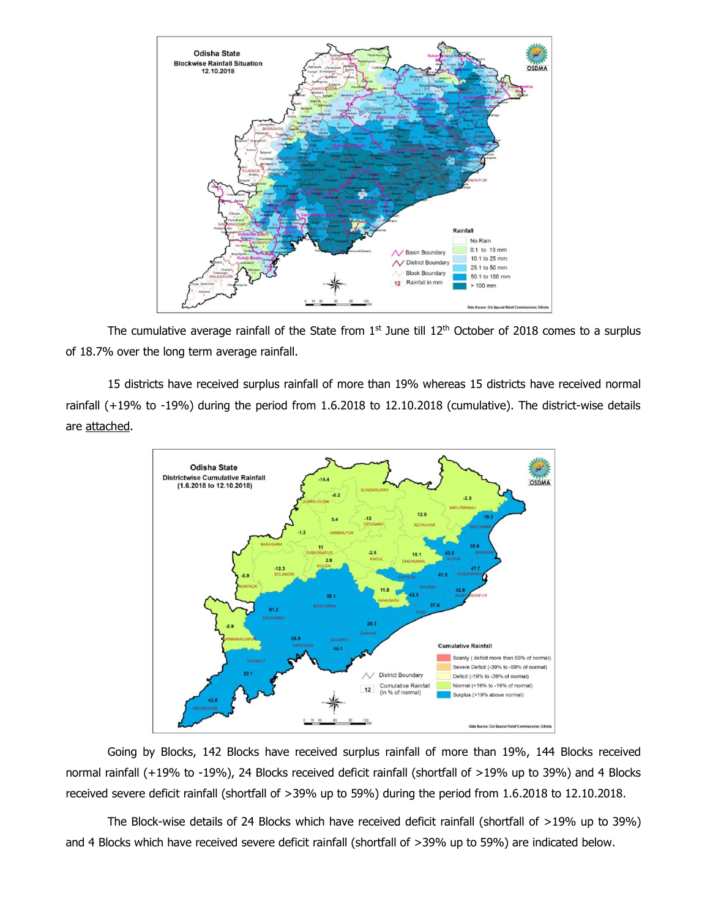

The cumulative average rainfall of the State from  $1<sup>st</sup>$  June till  $12<sup>th</sup>$  October of 2018 comes to a surplus of 18.7% over the long term average rainfall.

15 districts have received surplus rainfall of more than 19% whereas 15 districts have received normal rainfall (+19% to -19%) during the period from 1.6.2018 to 12.10.2018 (cumulative). The district-wise details are attached.



Going by Blocks, 142 Blocks have received surplus rainfall of more than 19%, 144 Blocks received normal rainfall (+19% to -19%), 24 Blocks received deficit rainfall (shortfall of >19% up to 39%) and 4 Blocks received severe deficit rainfall (shortfall of >39% up to 59%) during the period from 1.6.2018 to 12.10.2018.

The Block-wise details of 24 Blocks which have received deficit rainfall (shortfall of >19% up to 39%) and 4 Blocks which have received severe deficit rainfall (shortfall of >39% up to 59%) are indicated below.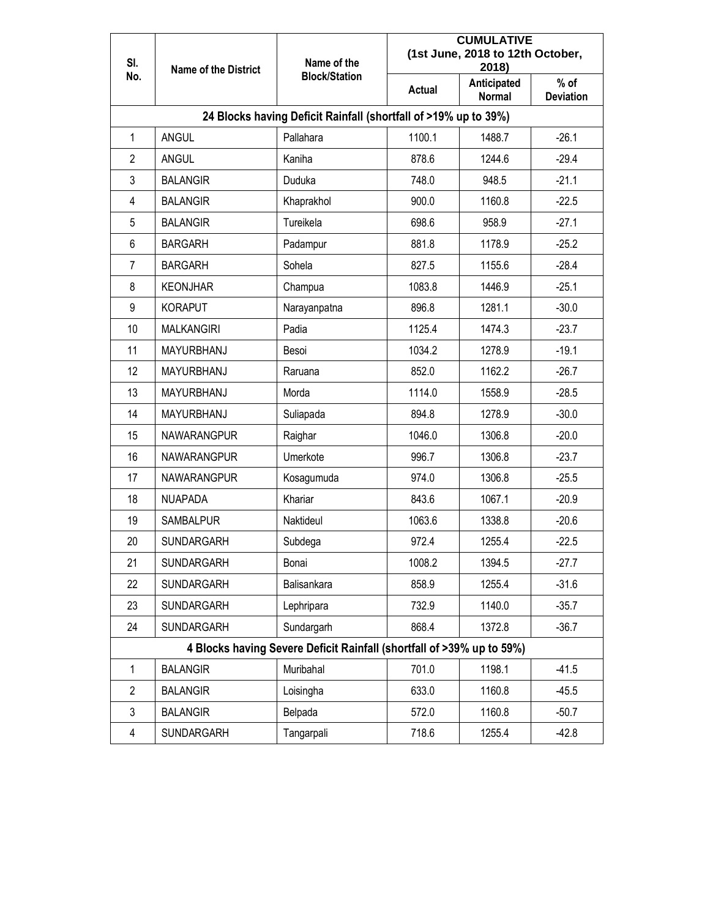| SI.                                                                   | <b>Name of the District</b> | Name of the                                                     | <b>CUMULATIVE</b><br>(1st June, 2018 to 12th October,<br>2018) |                              |                            |  |  |  |  |  |
|-----------------------------------------------------------------------|-----------------------------|-----------------------------------------------------------------|----------------------------------------------------------------|------------------------------|----------------------------|--|--|--|--|--|
| No.                                                                   |                             | <b>Block/Station</b>                                            | <b>Actual</b>                                                  | Anticipated<br><b>Normal</b> | $%$ of<br><b>Deviation</b> |  |  |  |  |  |
|                                                                       |                             | 24 Blocks having Deficit Rainfall (shortfall of >19% up to 39%) |                                                                |                              |                            |  |  |  |  |  |
| 1                                                                     | <b>ANGUL</b>                | Pallahara                                                       | 1100.1                                                         | 1488.7                       | $-26.1$                    |  |  |  |  |  |
| $\overline{2}$                                                        | <b>ANGUL</b>                | Kaniha                                                          | 878.6                                                          | 1244.6                       | $-29.4$                    |  |  |  |  |  |
| 3                                                                     | <b>BALANGIR</b>             | Duduka                                                          | 748.0                                                          | 948.5                        | $-21.1$                    |  |  |  |  |  |
| 4                                                                     | <b>BALANGIR</b>             | Khaprakhol                                                      | 900.0                                                          | 1160.8                       | $-22.5$                    |  |  |  |  |  |
| 5                                                                     | <b>BALANGIR</b>             | Tureikela                                                       | 698.6                                                          | 958.9                        | $-27.1$                    |  |  |  |  |  |
| 6                                                                     | <b>BARGARH</b>              | Padampur                                                        | 881.8                                                          | 1178.9                       | $-25.2$                    |  |  |  |  |  |
| 7                                                                     | <b>BARGARH</b>              | Sohela                                                          | 827.5                                                          | 1155.6                       | $-28.4$                    |  |  |  |  |  |
| 8                                                                     | <b>KEONJHAR</b>             | Champua                                                         | 1083.8                                                         | 1446.9                       | $-25.1$                    |  |  |  |  |  |
| 9                                                                     | <b>KORAPUT</b>              | Narayanpatna                                                    | 896.8                                                          | 1281.1                       | $-30.0$                    |  |  |  |  |  |
| 10                                                                    | <b>MALKANGIRI</b>           | Padia                                                           | 1125.4                                                         | 1474.3                       | $-23.7$                    |  |  |  |  |  |
| 11                                                                    | MAYURBHANJ                  | Besoi                                                           | 1034.2                                                         | 1278.9                       | $-19.1$                    |  |  |  |  |  |
| 12                                                                    | MAYURBHANJ                  | Raruana                                                         | 852.0                                                          | 1162.2                       | $-26.7$                    |  |  |  |  |  |
| 13                                                                    | MAYURBHANJ                  | Morda                                                           | 1114.0                                                         | 1558.9                       | $-28.5$                    |  |  |  |  |  |
| 14                                                                    | MAYURBHANJ                  | Suliapada                                                       | 894.8                                                          | 1278.9                       | $-30.0$                    |  |  |  |  |  |
| 15                                                                    | <b>NAWARANGPUR</b>          | Raighar                                                         | 1046.0                                                         | 1306.8                       | $-20.0$                    |  |  |  |  |  |
| 16                                                                    | <b>NAWARANGPUR</b>          | Umerkote                                                        | 996.7                                                          | 1306.8                       | $-23.7$                    |  |  |  |  |  |
| 17                                                                    | <b>NAWARANGPUR</b>          | Kosagumuda                                                      | 974.0                                                          | 1306.8                       | $-25.5$                    |  |  |  |  |  |
| 18                                                                    | <b>NUAPADA</b>              | Khariar                                                         | 843.6                                                          | 1067.1                       | $-20.9$                    |  |  |  |  |  |
| 19                                                                    | <b>SAMBALPUR</b>            | Naktideul                                                       | 1063.6                                                         | 1338.8                       | $-20.6$                    |  |  |  |  |  |
| 20                                                                    | <b>SUNDARGARH</b>           | Subdega                                                         | 972.4                                                          | 1255.4                       | $-22.5$                    |  |  |  |  |  |
| 21                                                                    | SUNDARGARH                  | Bonai                                                           | 1008.2                                                         | 1394.5                       | $-27.7$                    |  |  |  |  |  |
| 22                                                                    | SUNDARGARH                  | Balisankara                                                     | 858.9                                                          | 1255.4                       | $-31.6$                    |  |  |  |  |  |
| 23                                                                    | SUNDARGARH                  | Lephripara                                                      | 732.9                                                          | 1140.0                       | $-35.7$                    |  |  |  |  |  |
| 24                                                                    | SUNDARGARH                  | Sundargarh                                                      | 868.4                                                          | 1372.8                       | $-36.7$                    |  |  |  |  |  |
| 4 Blocks having Severe Deficit Rainfall (shortfall of >39% up to 59%) |                             |                                                                 |                                                                |                              |                            |  |  |  |  |  |
| 1                                                                     | <b>BALANGIR</b>             | Muribahal                                                       | 701.0                                                          | 1198.1                       | $-41.5$                    |  |  |  |  |  |
| $\overline{2}$                                                        | <b>BALANGIR</b>             | Loisingha                                                       | 633.0                                                          | 1160.8                       | $-45.5$                    |  |  |  |  |  |
| 3                                                                     | <b>BALANGIR</b>             | Belpada                                                         | 572.0                                                          | 1160.8                       | $-50.7$                    |  |  |  |  |  |
| 4                                                                     | SUNDARGARH                  | Tangarpali                                                      | 718.6                                                          | 1255.4                       | $-42.8$                    |  |  |  |  |  |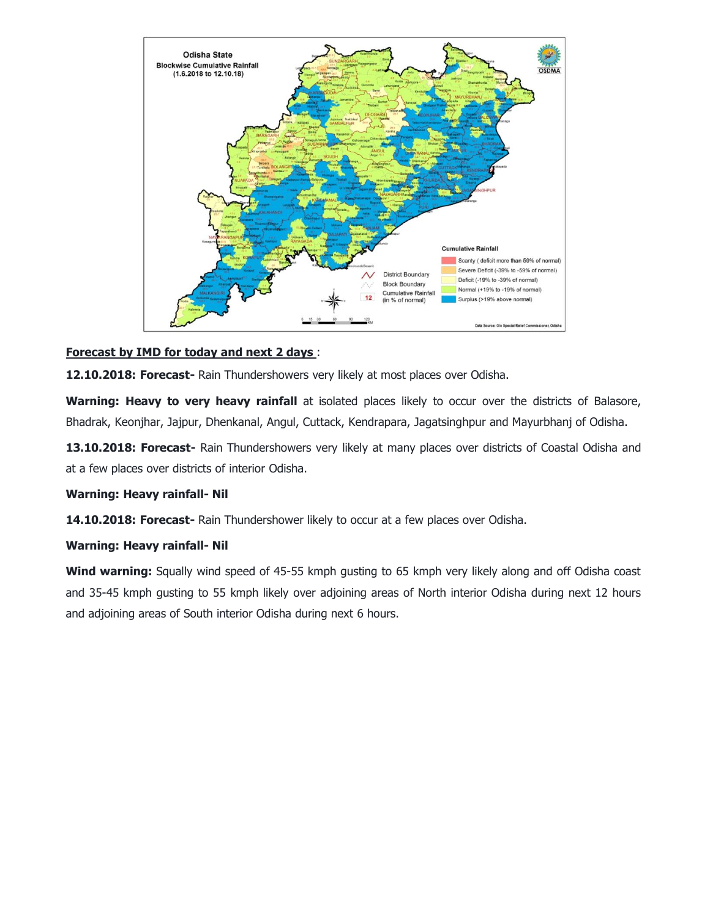

### **Forecast by IMD for today and next 2 days** :

**12.10.2018: Forecast-** Rain Thundershowers very likely at most places over Odisha.

Warning: Heavy to very heavy rainfall at isolated places likely to occur over the districts of Balasore, Bhadrak, Keonjhar, Jajpur, Dhenkanal, Angul, Cuttack, Kendrapara, Jagatsinghpur and Mayurbhanj of Odisha.

**13.10.2018: Forecast-** Rain Thundershowers very likely at many places over districts of Coastal Odisha and at a few places over districts of interior Odisha.

### **Warning: Heavy rainfall- Nil**

**14.10.2018: Forecast-** Rain Thundershower likely to occur at a few places over Odisha.

### **Warning: Heavy rainfall- Nil**

**Wind warning:** Squally wind speed of 45-55 kmph gusting to 65 kmph very likely along and off Odisha coast and 35-45 kmph gusting to 55 kmph likely over adjoining areas of North interior Odisha during next 12 hours and adjoining areas of South interior Odisha during next 6 hours.